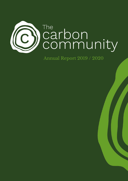

Annual Report 2019 / 2020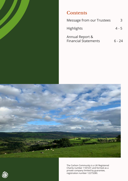

# **Contents**

| Message from our Trustees                      | R       |
|------------------------------------------------|---------|
| <b>Highlights</b>                              | $4 - 5$ |
| Annual Report &<br><b>Financial Statements</b> | 6 - 24  |



The Carbon Community is a UK Registered Charity number 1187231 and formed as a private company limited by guarantee, registration number 12273280.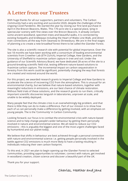# **A Letter from our Trustees**

With huge thanks for all our supporters, partners and volunteers, The Carbon Community had a very exciting and successful 2020, despite the challenges of the ongoing Covid Pandemic. We started the year by closing our first land purchase in April in the Brecon Beacons, Wales. This 170-acre site is a special place, lying in spectacular scenery with fine views over the Brecon Beacons. It already contains some ancient woodland, specimen trees and beautiful walks, it is connected by existing footpaths and bridleways including the Heart of Wales Line Walk, and direct train connections all the way from Swansea to Shrewsbury. We are in the final stages of planning a to create a new broadleaf forest there to be called the Glandwr Forest.

The site is also a scientific research site with potential for global importance. Over the last 18 months we have been working with a consortium of leading environmental scientists from Crowther Lab (ETH Zurich), Imperial College, Kew Gardens, and the University of Sheffield to maximize carbon capture in tree and soil. Under the guidance of our Scientific Advisory Board, we have dedicated 28-acres of the site to a ground-breaking scientific field trial, testing different nature-based solutions to maximize carbon capture. The incremental impact on carbon sequestration in forestry from this work could be significant, potentially changing the way that forests are created and restored around the world.

For this project, we awarded research grants to Imperial College and Kew Gardens to accelerate the science of recovering CO2 from the atmosphere. This is unusual for an environmental charity, but we believe that nature-based solutions, together with meaningful reductions in emissions, are our best chance of climate restoration. Without field trials of these solutions, and the research grants to run them, critically important scientific discoveries languish in laboratories, unproven at scale, and unable to be widely deployed.

Many people feel that the climate crisis is an overwhelmingly big problem, and that there is little they can do to make a difference. Part of our mission is to show how each of us can personally make a difference by getting involved, with an emphasis on young people. The is the 'Community' in Carbon Community.

Looking forward, our focus is to combat the environmental crisis with nature-based science and to help change people's wider behaviour by getting them personally involved in nature and environmental science. We all need to reduce our CO2 emissions – this is arguably the biggest and one of the most urgent challenges faced by humankind and our planet today.

We believe that shifts in behaviour are best achieved through a personal connection with nature and environmental science: i.e. getting people personally involved in the battle against CO2 emissions is much more likely to have a lasting resulting in individuals reducing their own carbon footprint.

To this end, in 2021 we plan to begin opening up the Glandwr Forest to selected communities, providing opportunities to volunteer, connect with nature, get involved in woodland creation, citizen science and discover a beautiful part of the UK.

Thank you for your support.

**Charles, Heather and Jane**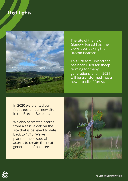# **Highlights**



The site of the new Glandwr Forest has fine views overlooking the Brecon Beacons.

This 170 acre upland site has been used for sheep farming for many generations, and in 2021 will be transformed into a new broadleaf forest.

In 2020 we planted our first trees on our new site in the Brecon Beacons.

We also harvested acorns from a sessile oak on the site that is believed to date back to 1715. We've planted these special acorns to create the next generation of oak trees.





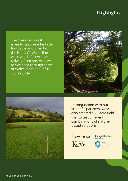# **Highlights**

The Glandwr Forest already has some fantastic footpaths and is part of the Heart Of Wales line walk, which follows the railway from Shrewsbury to Swansea through some of Wales most beautiful countryside.





In conjunction with our scientific partners, we've also created a 28 acre field trial to test different combinations of naturebased solutions.







The University<br>Of<br>Sheffield.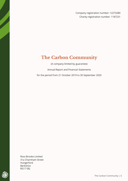Company registration number: 12273280 Charity registration number: 1187231

# **The Carbon Community**

(A company limited by guarantee)

Annual Report and Financial Statements

for the period from 21 October 2019 to 30 September 2020

Ross Brooke Limited 31a Charnham Street Hungerford Berkshire RG17 0EJ

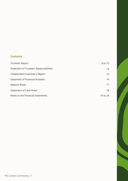# **Contents**

| Trustees' Report                         | 8 to 13  |
|------------------------------------------|----------|
| Statement of Trustees' Responsibilities  | 14       |
| Independent Examiner's Report            | 15       |
| <b>Statement of Financial Activities</b> | 16       |
| <b>Balance Sheet</b>                     | 17       |
| <b>Statement of Cash Flows</b>           | 18       |
| Notes to the Financial Statements        | 19 to 24 |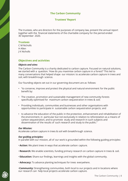## **Trustees' Report**

The trustees, who are directors for the purposes of company law, present the annual report together with the financial statements of the charitable company for the period ended 30 September 2020.

#### **Trustees**

C M Nicholls H Allen J K Nicholls

## **Objectives and activities**

#### *Objects and aims*

The Carbon Community is a charity dedicated to carbon capture. Focused on natural solutions, we started with a question. 'How do you maximise carbon capture in a forest?' This led to many conversations that helped shape our mission: to accelerate carbon capture in trees and soil, with breakthrough science.

Our founding objects set out in our governing document are as follows:

- "to conserve, improve and protect the physical and natural environment for the public benefit by:
- The creation, promotion and sustainable management of new community forests specifically optimised for maximum carbon sequestration in trees & soil;
- Providing individuals, communities and businesses and other organisations with opportunities to participate in sustainable carbon sequestration projects; and
- to advance the education of the public in the protection, enhancement and rehabilitation of the environment, in particular but not exclusively in relation to reforestation as a means of carbon sequestration, and to promote study and research in such subjects and dissemination of the results of such research and study to the public."

## *Our Mission:*

Accelerate carbon capture in trees & soil with breakthrough science.

## *Our guiding principles:*

In parallel with our mission, all of our work is grounded within the following guiding principles:

- •**Action:** We plant trees in ways that accelerate carbon capture.
- **Research:** We enable scientists, funding primary research on carbon capture in trees & soil.
- **Education:** Share our findings, learnings and insights with the global community.
- •**Advocacy:** To advance planting techniques for trees everywhere.

•**Community:** Strengthening communities, both local to our projects and in locations where our research can help local projects accelerate carbon capture.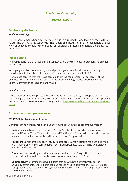## **Trustees' Report**

## **Fundraising disclosures**

## *Public Fundraising:*

The Carbon Community's aim is to raise funds in a respectful way that is aligned with our values. The charity is registered with The Fundraising Regulator. In all of our fundraising we work diligently to comply with the Code of Fundraising Practise and uphold the standards it promotes.

## **Public benefit**

The public benefits that shape our annual activity are environmental protection and climate restoration.

In shaping our objectives for the year and planning our activities, the trustees have given consideration to the Charity Commission's guidance on public benefit (PB2).

The trustees confirm that they have complied with the requirements of section 17 of the Charities Act 2011 to have due regard to the public benefit guidance published by the Charity Commission for England and Wales.

#### *Data Protection*

The Carbon Community places great importance on the security of support and volunteer data and personal information. For information on how the charity uses and protects personal data, please see our privacy policy. [https://www.carboncommunity.org/privacy](https://www.carboncommunity.org/privacy-policy)policy

## **Achievements and performance**

#### *2019/2020 Our First Year in Review*

Our first year as a charity has been a year of laying groundwork to achieve our mission.

- **Action:** We purchased 170 acre site of former farmland just outside the Brecon Beacons National Park in Wales. This site, to be called The Glandwr Forest, will become the home of a beautiful broadleaf forest that will capture carbon for generations.
- **Research**: Our landmark scientific study to accelerate carbon capture has been designed with leading environmental scientists from Imperial College, Kew Gardens, University of Sheffield and ETH Zurich.
- **Education:** We are delighted that a Masters student from Bangor University has confirmed that he will write his thesis on our research study in 2020/21.
- **Community:** We continue to develop partnerships within the environment sector, university community and like-minded businesses. We are delighted that SAP UK Limited has agreed this year to begin raising funds for SAP Forest UK which will be planted within The Glandwr Forest.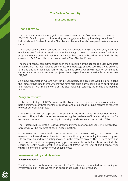## **Trustees' Report**

## **Financial review**

The Carbon Community enjoyed a successful year in its first year with donations of £642,261. Our first year of fundraising was largely enabled by founding donations from individuals and funders from the Charities Aid Foundation who are passionate about our cause.

The charity spent a small amount of funds on fundraising £350, and currently does not employee any fundraising staff. It is now beginning to grow its regular giving fundraising program. We are delighted that SAP UK Limited has come on board to raise funds for the creation of SAP Forest UK to be planted within The Glandwr Forest.

The major financial commitment has been the acquisition of the site for The Glandwr Forest for £619,254. This has included an interest-free mortgage of £200,000. The site is previous farmland and is an ideal location for the scientific project which will focus on accelerating carbon capture in afforestation projects. Total Expenditure on charitable activities was £19,267.

As a new organization we are fully run by volunteers. The Trustees would like to extend their sincere thanks to the volunteers who have help build our website, design our branding and helped us with manual work on the site including restoring the bridge and building fences.

## **Policy on reserves**

In the current stage of TCC's evolution, the Trustee's have approved a reserves policy to hold a minimum of three months of reserves and a maximum of nine months of reserves to cover our operating costs.

These reserves will be separate to ensure that we have funds to cover our forward contracts. They will also be separate to ensuring that we have sufficient working capital for tree maintenance due to the time lag in receiving funds from our contract with NRW.

The Trustees will review this Reserves Policy a minimum of once per year. The current level of reserves will be reviewed at each Trustee meeting.

In reviewing our current level of reserves versus our reserves policy, the Trustees have reviewed the forward commitments to our scientific program including the research grant, site preparation and tree planting involved in the research project. The Trustees have also taken into account our ongoing mortgage commitments. With the above in mind, the charity currently holds unrestricted reserves of £9,954 at the end of this financial year which is 8 months of cover for our ongoing costs.

## **Investment policy and objectives**

#### *Investment Policy*

The Charity does not have any investments. The Trustees are committed to developing an investment policy when we reach an appropriate stage in our evolution.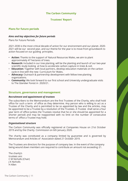## **Trustees' Report**

# **Plans for future periods**

## *Aims and key objectives for future periods*

Plans for Future Periods

2021-2030 is the most critical decade of action for our environment and our planet. 2020- 2021 will be our second year, and our theme for the year is to move from groundwork to action focused on our guiding principles.

- **Action:** Thanks to the support of Natural Resources Wales, we aim to plant approximately 47 hectares of trees.
- **Research:** Included in our tree planting, will be the planting and launch of our two-year scientific study looking at how to accelerate carbon capture in trees & soil.
- **Education:** Together with local partners, develop education materials on the carbon cycle in line with the new Curriculum for Wales.
- **Advocacy:** Outreach & partnership development with fellow tree-planting organizations.
- **Community:** We look forward to our first school and University undergraduate visits to The Glandwr Forest in 2020/21.

## **Structure, governance and management**

## *Recruitment and appointment of trustees*

The subscribers to the Memorandum are the first Trustees of the Charity, who shall hold office for such a term of office as they determine. Any person who is willing to act as a Trustee of the Charity and is permitted to be so appointed by law and the articles, may be appointed to be a Trustee by a resolution of the Trustees. A Trustee shall serve a four year term of office (unless the Trustees resolve that he or she should be appointed for a shorter period) and may be reappointed with no limit on the number of consecutive terms of office a Trustee may hold.

## *Organisational structure*

The Carbon Community was officially registered at Companies House on 21st October 2019 and by the Charity Commission on 6th January 2020.

The charity was constituted as a company limited by guarantee and is governed by Memorandum and Articles of Association dated 21 October 2019.

The Trustees are directors for the purpose of company law. In the event of the company being wound down members are required to contribute an amount not exceeding £1.

The charity's trustees are: C M Nicholls (Chair) J K Nicholls H Allen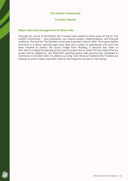## **Trustees' Report**

## **Major risks and management of those risks**

Through the course of 2019/2020, the Trustees have looked at three areas of risk for The Carbon Community – land acquisition, our science project implementation, and financial resilience. The land for The Glandwr Forest was acquired in March 2020. Third party liability insurance is in place, warning signs have been put in place as appropriate and work has been initiated to protect the access bridge from flooding. A decision was taken in late March to delay the planting of the science project due to covid, this has meant that the project will be delayed to the 2020/2021 planting season with ground prep scheduled to commence in October 2020. To address our long term financial resilience the Trustees are looking at carbon credits and other tools for the long term success of the charity.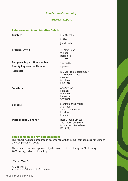# **Trustees' Report**

# **Reference and Administrative Details**

| <b>Trustees</b>                    | C M Nicholls                                                                                |
|------------------------------------|---------------------------------------------------------------------------------------------|
|                                    | H Allen                                                                                     |
|                                    | J K Nicholls                                                                                |
| <b>Principal Office</b>            | 40 Alma Road<br>Windsor<br><b>Berkshire</b><br><b>SL4 3HJ</b>                               |
| <b>Company Registration Number</b> | 12273280                                                                                    |
| <b>Charity Registration Number</b> | 1187231                                                                                     |
| <b>Solicitors</b>                  | <b>IBB Solicitors Capital Court</b><br>30 Windsor Street<br>Uxbridge<br>Middlesex<br>UB81AB |
| <b>Solicitors</b>                  | AgriAdvisor<br>Henllan<br>Pumsaint<br>Llanwrda<br><b>SA19 8AX</b>                           |
| <b>Bankers</b>                     | <b>Starling Bank Limited</b><br>3rd Floor<br>2 Finsbury Avenue<br>London<br>EC2M 2PP        |
| <b>Independent Examiner</b>        | Ross Brooke Limited<br>31a Charnham Street<br>Hungerford Berkshire<br><b>RG17 0EJ</b>       |

# **Small companies provision statement**

This report has been prepared in accordance with the small companies regime under the Companies Act 2006.

The annual report was approved by the trustees of the charity on 21<sup>st</sup> January 2021 and signed on its behalf by:

*Charles Nicholls*

C M Nicholls Chairman of the board of Trustees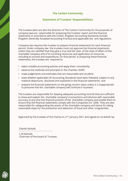## **Statement of Trustees' Responsibilities**

The trustees (who are also the directors of The Carbon Community for the purposes of company law) are responsible for preparing the trustees' report and the financial statements in accordance with the United Kingdom Accounting Standards (United Kingdom Generally Accepted Accounting Practice) and applicable law and regulations.

Company law requires the trustees to prepare financial statements for each financial period. Under company law the trustees must not approve the financial statements unless they are satisfied that they give a true and fair view of the state of affairs of the charitable company and of its incoming resources and application of resources, including its income and expenditure, for that period. In preparing these financial statements, the trustees are required to:

- select suitable accounting policies and apply them consistently;
- observe the methods and principles in the Charities SORP;
- make judgements and estimates that are reasonable and prudent;
- state whether applicable UK Accounting Standards have been followed, subject to any material departures disclosed and explained in the financial statements; and
- prepare the financial statements on the going concern basis unless it is inappropriate to presume that the charitable company will continue in business.

The trustees are responsible for keeping adequate accounting records that are sufficient to show and explain the charitable company's transactions and disclose with reasonable accuracy at any time the financial position of the charitable company and enable them to ensure that the financial statements comply with the Companies Act 2006. They are also responsible for safeguarding the assets of the charitable company and hence for taking reasonable steps for the prevention and detection of fraud and other irregularities.

Approved by the trustees of the charity on 21<sup>st</sup> January 2021 and signed on its behalf by:

*Charles Nicholls*

C M Nicholls Chairman of the board of Trustees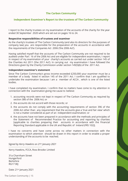## **Independent Examiner's Report to the trustees of The Carbon Community**

I report to the charity trustees on my examination of the accounts of the charity for the year ended 30 September 2020 which are set out on pages 16 to 24.

## **Respective responsibilities of trustees and examiner**

As the charity's trustees of The Carbon Community (and also its directors for the purposes of company law) you are responsible for the preparation of the accounts in accordance with the requirements of the Companies Act 2006 ('the 2006 Act').

Having satisfied myself that the accounts of The Carbon Community are not required to be audited under Part 16 of the 2006 Act and are eligible for independent examination, I report in respect of my examination of your charity's accounts as carried out under section 145 of the Charities Act 2011 ('the 2011 Act'). In carrying out my examination I have followed the Directions given by the Charity Commission under section 145(5)(b) of the 2011 Act.

## **Independent examiner's statement**

Since The Carbon Community's gross income exceeded £250,000 your examiner must be a member of a body listed in section 145 of the 2011 Act. I confirm that I am qualified to undertake the examination because I am a member of ACCA , which is one of the listed bodies.

I have completed my examination. I confirm that no matters have come to my attention in connection with the examination giving me cause to believe:

- 1. accounting records were not kept in respect of The Carbon Community as required by section 386 of the 2006 Act; or
- 2. the accounts do not accord with those records; or
- 3. the accounts do not comply with the accounting requirements of section 396 of the 2006 Act other than any requirement that the accounts give a 'true and fair view' which is not a matter considered as part of an independent examination; or
- 4. the accounts have not been prepared in accordance with the methods and principles of the Statement of Recommended Practice for accounting and reporting by charities [applicable to charities preparing their accounts in accordance with the Financial Reporting Standard applicable in the UK and Republic of Ireland (FRS 102)].

I have no concerns and have come across no other matters in connection with the examination to which attention should be drawn in this report in order to enable a proper understanding of the accounts to be reached.

*Signed by Kerry Hawkins on 21st January 2021*

Kerry Hawkins, FCCA, Ross Brooke Limited

31a Charnham Street Hungerford Berkshire RG17 0EJ

Date: 21st January 2021

The Carbon Community | 15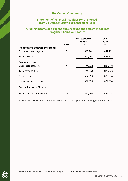## **Statement of Financial Activities for the Period from 21 October 2019 to 30 September 2020**

# **(Including Income and Expenditure Account and Statement of Total Recognised Gains and Losses)**

|                                    |             | <b>Unrestricted</b><br>funds | <b>Total</b><br>2020 |
|------------------------------------|-------------|------------------------------|----------------------|
|                                    | <b>Note</b> | £                            | £                    |
| <b>Income and Endowments from:</b> |             |                              |                      |
| Donations and legacies             | 3           | 642,261                      | 642,261              |
| Total income                       |             | 642,261                      | 642,261              |
| <b>Expenditure on:</b>             |             |                              |                      |
| Charitable activities              | 4           | (19, 267)                    | (19, 267)            |
| Total expenditure                  |             | (19, 267)                    | (19, 267)            |
| Net income                         |             | 622,994                      | 622,994              |
| Net movement in funds              |             | 622,994                      | 622,994              |
| <b>Reconciliation of funds</b>     |             |                              |                      |
| Total funds carried forward        | 13          | 622,994                      | 622,994              |

All of the charity's activities derive from continuing operations during the above period.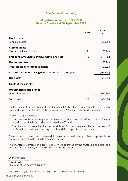# **(Registration number: 12273289) Balance Sheet as at 30 September 2020**

|                                                         | <b>Note</b> | 2020<br>£ |
|---------------------------------------------------------|-------------|-----------|
| <b>Fixed assets</b>                                     |             |           |
| Tangible assets                                         | 8           | 619,254   |
| <b>Current assets</b>                                   |             |           |
| Cash at bank and in hand                                | 9           | 206,140   |
| <b>Creditors: Amounts falling due within one year</b>   | 10          | (17, 400) |
| <b>Net current assets</b>                               |             | 188,740   |
| <b>Total assets less current liabilities</b>            |             | 807,994   |
| Creditors: Amounts falling due after more than one year | 11          | (185,000) |
| <b>Net assets</b>                                       |             | 622,994   |
| <b>Funds of the charity:</b>                            |             |           |
| <b>Unrestricted income funds</b>                        |             |           |
| Unrestricted funds                                      |             | 622,994   |
| <b>Total funds</b>                                      | 13          | 622,994   |

For the financial period ending 30 September 2020 the charity was entitled to exemption from audit under section 477 of the Companies Act 2006 relating to small companies.

Directors' responsibilities:

- The members have not required the charity to obtain an audit of its accounts for the period in question in accordance with section 476; and
- The directors acknowledge their responsibilities for complying with the requirements of the Act with respect to accounting records and the preparation of accounts.

These accounts have been prepared in accordance with the provisions applicable to companies subject to the small companies regime.

The financial statements on pages 16 to 24 were approved by the trustees, and authorised for issue on 21<sup>st</sup> January 2021 and signed on their behalf by:

*Charles Nicholls*

C M Nicholls Chairman of the board of Trustees

The notes on pages 19 to 24 form an integral part of these financial statements.

The Carbon Community | 17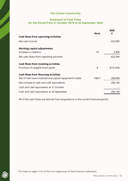# **Statement of Cash Flows for the Period from 21 October 2019 to 30 September 2020**

|                                                       | <b>Note</b> | 2020<br>£  |
|-------------------------------------------------------|-------------|------------|
| Cash flows from operating activities                  |             |            |
| Net cash income                                       |             | 622,994    |
| <b>Working capital adjustments</b>                    |             |            |
| Increase in creditors                                 | 10          | 2,400      |
| Net cash flows from operating activities              |             | 625,394    |
| Cash flows from investing activities                  |             |            |
| Purchase of tangible fixed assets                     | 8           | (619, 254) |
| <b>Cash flows from financing activities</b>           |             |            |
| Net of new loans received and capital repayments made | 10&11       | 200,000    |
| Net increase in cash and cash equivalents             |             | 206,140    |
| Cash and cash equivalents at 21 October               |             |            |
| Cash and cash equivalents at 30 September             |             | 206,140    |

All of the cash flows are derived from acquisitions in the current financial period.

The Carbon Community | 18 The notes on pages 19 to 24 form an integral part of these financial statements.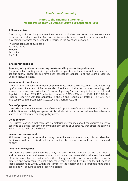## **Notes to the Financial Statements for the Period from 21 October 2019 to 30 September 2020**

## **1 Charity status**

The charity is limited by guarantee, incorporated in England and Wales, and consequently does not have share capital. Each of the trustees is liable to contribute an amount not exceeding £1 towards the assets of the charity in the event of liquidation.

The principal place of business is: 40 Alma Road Windsor Berkshire SL4 3HJ

## **2 Accounting policies**

## **Summary of significant accounting policies and key accounting estimates**

The principal accounting policies applied in the preparation of these financial statements are set out below. These policies have been consistently applied to all the years presented, unless otherwise stated.

#### **Statement of compliance**

The financial statements have been prepared in accordance with Accounting and Reporting by Charities: Statement of Recommended Practice applicable to charities preparing their accounts in accordance with the Financial Reporting Standard applicable in the UK and Republic of Ireland (FRS 102) (effective 1 January 2015) - (Charities SORP (FRS 102)), the Financial Reporting Standard applicable in the UK and Republic of Ireland (FRS 102). They also comply with the Companies Act 2006 and Charities Act 2011.

## **Basis of preparation**

The Carbon Community meets the definition of a public benefit entity under FRS 102. Assets and liabilities are initially recognised at historical cost or transaction value unless otherwise stated in the relevant accounting policy notes.

## **Going concern**

The trustees consider that there are no material uncertainties about the charity's ability to continue as a going concern nor any significant areas of uncertainty that affect the carrying value of assets held by the charity.

#### **Income and endowments**

All income is recognised once the charity has entitlement to the income, it is probable that the income will be received and the amount of the income receivable can be measured reliably.

## *Donations and legacies*

Donations are recognised when the charity has been notified in writing of both the amount and settlement date. In the event that a donation is subject to conditions that require a level of performance by the charity before the charity is entitled to the funds, the income is deferred and not recognised until either those conditions are fully met, or the fulfilment of those conditions is wholly within the control of the charity and it is probable that these conditions will be fulfilled in the reporting period.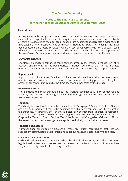## **Notes to the Financial Statements for the Period from 21 October 2019 to 30 September 2020**

#### **Expenditure**

All expenditure is recognised once there is a legal or constructive obligation to that expenditure, it is probable settlement is required and the amount can be measured reliably. All costs are allocated to the applicable expenditure heading that aggregate similar costs to that category. Where costs cannot be directly attributed to particular headings they have been allocated on a basis consistent with the use of resources, with central staff costs allocated on the basis of time spent, and depreciation charges allocated on the portion of the asset's use. Other support costs are allocated based on the spread of staff costs.

#### *Charitable activities*

Charitable expenditure comprises those costs incurred by the charity in the delivery of its activities and services for its beneficiaries. It includes both costs that can be allocated directly to such activities and those costs of an indirect nature necessary to support them.

#### **Support costs**

Support costs include central functions and have been allocated to activity cost categories on a basis consistent with the use of resources, for example, allocating property costs by floor areas, or per capita, staff costs by the time spent and other costs by their usage.

#### **Governance costs**

These include the costs attributable to the charity's compliance with constitutional and statutory requirements, including audit, strategic management and trustees's meetings and reimbursed expenses.

#### **Taxation**

The charity is considered to pass the tests set out in Paragraph 1 Schedule 6 of the Finance Act 2010 and therefore it meets the definition of a charitable company for UK corporation tax purposes. Accordingly, the charity is potentially exempt from taxation in respect of income or capital gains received within categories covered by Chapter 3 Part 11 of the Corporation Tax Act 2010 or Section 256 of the Taxation of Chargeable Gains Act 1992, to the extent that such income or gains are applied exclusively to charitable purposes.

#### **Tangible fixed assets**

Individual fixed assets costing £250.00 or more are initially recorded at cost, less any subsequent accumulated depreciation and subsequent accumulated impairment losses.

#### **Cash and cash equivalents**

Cash and cash equivalents comprise cash on hand and call deposits, and other short-term highly liquid investments that are readily convertible to a known amount of cash and are subject to an insignificant risk of change in value.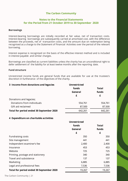## **Notes to the Financial Statements for the Period from 21 October 2019 to 30 September 2020**

## **Borrowings**

Interest-bearing borrowings are initially recorded at fair value, net of transaction costs. Interest-bearing borrowings are subsequently carried at amortised cost, with the difference between the proceeds, net of transaction costs, and the amount due on redemption being recognised as a charge to the Statement of Financial Activities over the period of the relevant borrowing.

Interest expense is recognised on the basis of the effective interest method and is included in interest payable and similar charges.

Borrowings are classified as current liabilities unless the charity has an unconditional right to defer settlement of the liability for at least twelve months after the reporting date.

## **Fund structure**

Unrestricted income funds are general funds that are available for use at the trustees's discretion in furtherance of the objectives of the charity.

| 3 Income from donations and legacies     | <b>Unrestricted</b> |         |
|------------------------------------------|---------------------|---------|
|                                          | funds               | Total   |
|                                          | General             | funds   |
|                                          | £                   | £       |
| Donations and legacies;                  |                     |         |
| Donations from individuals               | 554,761             | 554,761 |
| Gift aid reclaimed                       | 87,500              | 87,500  |
| Total for period ended 30 September 2020 | 642,261             | 642,261 |

## **4 Expenditure on charitable activities**

|                                          | <b>Unrestricted</b> |              |
|------------------------------------------|---------------------|--------------|
|                                          | funds               | <b>Total</b> |
|                                          | General             | funds        |
|                                          | £                   | £            |
| Fundraising costs                        | 350                 | 350          |
| Site management                          | 441                 | 441          |
| Independent examiner's fee               | 2,400               | 2,400        |
| Insurance                                | 453                 | 453          |
| Website                                  | 725                 | 725          |
| Printing, postage and stationery         | 340                 | 340          |
| Travel and subsistence                   | 137                 | 137          |
| Marketing                                | 6,885               | 6,885        |
| Legal and professional fees              | 7,536               | 7,536        |
| Total for period ended 30 September 2020 | 19,267              | 19,267       |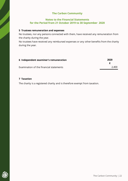## **Notes to the Financial Statements for the Period from 21 October 2019 to 30 September 2020**

## **5 Trustees remuneration and expenses**

No trustees, nor any persons connected with them, have received any remuneration from the charity during the year.

No trustees have received any reimbursed expenses or any other benefits from the charity during the year.

| 6 Independent examiner's remuneration   | 2020  |
|-----------------------------------------|-------|
|                                         |       |
| Examination of the financial statements | 2.400 |

# **7 Taxation**

The charity is a registered charity and is therefore exempt from taxation.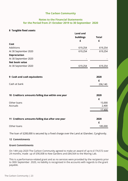## **Notes to the Financial Statements for the Period from 21 October 2019 to 30 September 2020**

## **8 Tangible fixed assets**

|                                                   | Land and  |              |
|---------------------------------------------------|-----------|--------------|
|                                                   | buildings | <b>Total</b> |
|                                                   | £         | £            |
| Cost                                              |           |              |
| Additions                                         | 619,254   | 619,254      |
| At 30 September 2020                              | 619,254   | 619,254      |
| <b>Depreciation</b>                               |           |              |
| At 30 September 2020                              |           |              |
| Net book value                                    |           |              |
| At 30 September 2020                              | 619,254   | 619,254      |
|                                                   |           |              |
|                                                   |           |              |
| 9 Cash and cash equivalents                       |           | 2020         |
|                                                   |           | £            |
| Cash at bank                                      |           | 206,140      |
|                                                   |           |              |
| 10 Creditors: amounts falling due within one year |           | 2020         |
|                                                   |           | £            |
| Other loans                                       |           | 15,000       |
| <b>Accruals</b>                                   |           | 2,400        |
|                                                   |           | 17,400       |
|                                                   |           |              |
| 11 Creditors: amounts falling due after one year  |           | 2020         |
|                                                   |           | £            |
| Other loans                                       |           | 185,000      |

The loan of £200,000 is secured by a fixed charge over the Land at Glandwr, Cynghordy.

## **12 Commitments**

## **Grant Commitments**

On 14th July 2020 The Carbon Community agreed to make an award of up to £174,572 over 24 months, made up of £90,008 to Kew Gardens and £84,564 to the Waring Lab.

This is a performance-related grant and as no services were provided by the recipients prior to 30th September 2020, no liability is recognised in the accounts with regards to the grant payable.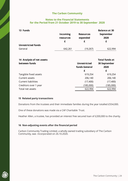## **Notes to the Financial Statements for the Period from 21 October 2019 to 30 September 2020**

| 13 Funds                  |           |                  | <b>Balance at 30</b> |
|---------------------------|-----------|------------------|----------------------|
|                           | Incoming  | <b>Resources</b> | September            |
|                           | resources | expended         | 2020                 |
|                           |           |                  |                      |
| <b>Unrestricted funds</b> |           |                  |                      |
| General                   | 642,261   | (19, 267)        | 622,994              |

| 14 Analysis of net assets  |                     | <b>Total funds at</b> |
|----------------------------|---------------------|-----------------------|
| between funds              | <b>Unrestricted</b> | 30 September          |
|                            | funds General       | 2020                  |
|                            | £                   | £                     |
| Tangible fixed assets      | 619,254             | 619,254               |
| Current assets             | 206,140             | 206,140               |
| <b>Current liabilities</b> | (17, 400)           | (17, 400)             |
| Creditors over 1 year      | (185,000)           | (185,000)             |
| Total net assets           | 622,994             | 622,994               |
|                            |                     |                       |

## **15 Related party transactions**

Donations from the trustees and their immediate families during the year totalled £554,000.

One of these donations was made via a CAF Charitable Trust.

Heather Allen, a trustee, has provided an interest free secured loan of £200,000 to the charity.

## **16 Non-adjusting events after the financial period**

Carbon Community Trading Limited, a wholly owned trading subsidiary of The Carbon Community, was incorporated on 26.10.2020.